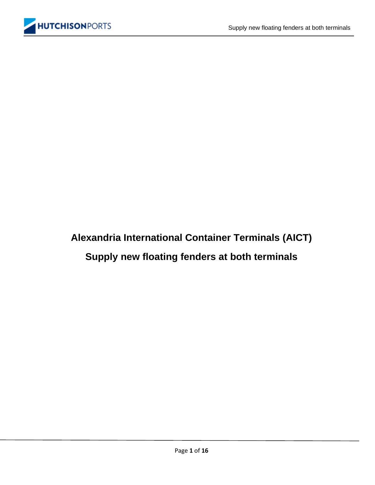# **Alexandria International Container Terminals (AICT) Supply new floating fenders at both terminals**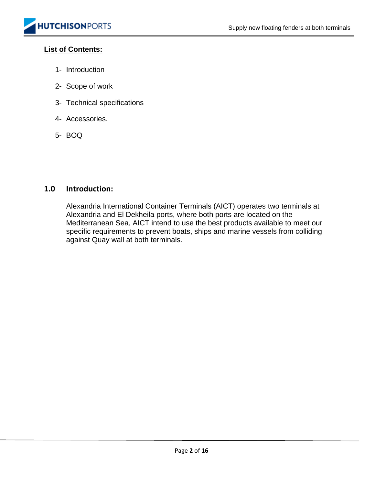#### **List of Contents:**

- 1- Introduction
- 2- Scope of work
- 3- Technical specifications
- 4- Accessories.
- 5- BOQ

#### **1.0 Introduction:**

Alexandria International Container Terminals (AICT) operates two terminals at Alexandria and El Dekheila ports, where both ports are located on the Mediterranean Sea, AICT intend to use the best products available to meet our specific requirements to prevent boats, ships and marine vessels from colliding against Quay wall at both terminals.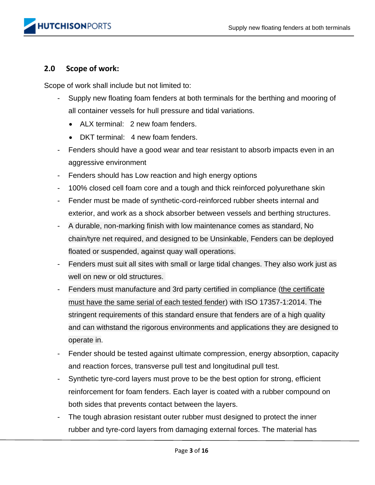#### **2.0 Scope of work:**

Scope of work shall include but not limited to:

- Supply new floating foam fenders at both terminals for the berthing and mooring of all container vessels for hull pressure and tidal variations.
	- ALX terminal: 2 new foam fenders.
	- DKT terminal: 4 new foam fenders.
- Fenders should have a good wear and tear resistant to absorb impacts even in an aggressive environment
- Fenders should has Low reaction and high energy options
- 100% closed cell foam core and a tough and thick reinforced polyurethane skin
- Fender must be made of synthetic-cord-reinforced rubber sheets internal and exterior, and work as a shock absorber between vessels and berthing structures.
- A durable, non-marking finish with low maintenance comes as standard, No chain/tyre net required, and designed to be Unsinkable, Fenders can be deployed floated or suspended, against quay wall operations.
- Fenders must suit all sites with small or large tidal changes. They also work just as well on new or old structures.
- Fenders must manufacture and 3rd party certified in compliance (the certificate must have the same serial of each tested fender) with ISO 17357-1:2014. The stringent requirements of this standard ensure that fenders are of a high quality and can withstand the rigorous environments and applications they are designed to operate in.
- Fender should be tested against ultimate compression, energy absorption, capacity and reaction forces, transverse pull test and longitudinal pull test.
- Synthetic tyre-cord layers must prove to be the best option for strong, efficient reinforcement for foam fenders. Each layer is coated with a rubber compound on both sides that prevents contact between the layers.
- The tough abrasion resistant outer rubber must designed to protect the inner rubber and tyre-cord layers from damaging external forces. The material has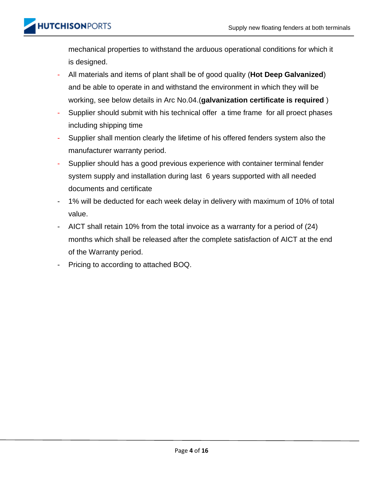mechanical properties to withstand the arduous operational conditions for which it is designed.

- All materials and items of plant shall be of good quality (**Hot Deep Galvanized**) and be able to operate in and withstand the environment in which they will be working, see below details in Arc No.04.(**galvanization certificate is required** )
- Supplier should submit with his technical offer a time frame for all proect phases including shipping time
- Supplier shall mention clearly the lifetime of his offered fenders system also the manufacturer warranty period.
- Supplier should has a good previous experience with container terminal fender system supply and installation during last 6 years supported with all needed documents and certificate
- 1% will be deducted for each week delay in delivery with maximum of 10% of total value.
- AICT shall retain 10% from the total invoice as a warranty for a period of (24) months which shall be released after the complete satisfaction of AICT at the end of the Warranty period.
- Pricing to according to attached BOQ.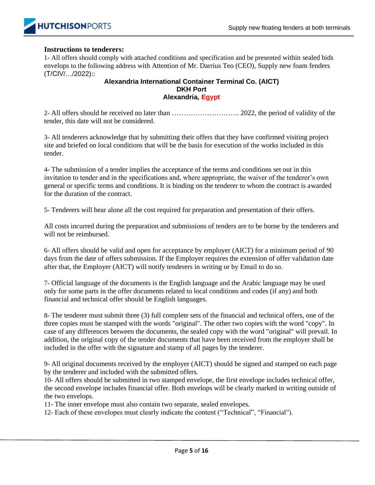

#### **Instructions to tenderers:**

1- All offers should comply with attached conditions and specification and be presented within sealed bids envelops to the following address with Attention of Mr. Darrius Teo (CEO), Supply new foam fenders (T/CIV/…/2022)::

#### **Alexandria International Container Terminal Co. (AICT) DKH Port Alexandria, Egypt**

2- All offers should be received no later than ……………………….. 2022, the period of validity of the tender, this date will not be considered.

3- All tenderers acknowledge that by submitting their offers that they have confirmed visiting project site and briefed on local conditions that will be the basis for execution of the works included in this tender.

4- The submission of a tender implies the acceptance of the terms and conditions set out in this invitation to tender and in the specifications and, where appropriate, the waiver of the tenderer's own general or specific terms and conditions. It is binding on the tenderer to whom the contract is awarded for the duration of the contract.

5- Tenderers will bear alone all the cost required for preparation and presentation of their offers.

All costs incurred during the preparation and submissions of tenders are to be borne by the tenderers and will not be reimbursed.

6- All offers should be valid and open for acceptance by employer (AICT) for a minimum period of 90 days from the date of offers submission. If the Employer requires the extension of offer validation date after that, the Employer (AICT) will notify tenderers in writing or by Email to do so.

7- Official language of the documents is the English language and the Arabic language may be used only for some parts in the offer documents related to local conditions and codes (if any) and both financial and technical offer should be English languages.

8- The tenderer must submit three (3) full complete sets of the financial and technical offers, one of the three copies must be stamped with the words "original". The other two copies with the word "copy". In case of any differences between the documents, the sealed copy with the word "original" will prevail. In addition, the original copy of the tender documents that have been received from the employer shall be included in the offer with the signature and stamp of all pages by the tenderer.

9- All original documents received by the employer (AICT) should be signed and stamped on each page by the tenderer and included with the submitted offers.

10- All offers should be submitted in two stamped envelope, the first envelope includes technical offer, the second envelope includes financial offer. Both envelops will be clearly marked in writing outside of the two envelops.

11- The inner envelope must also contain two separate, sealed envelopes.

12- Each of these envelopes must clearly indicate the content ("Technical", "Financial").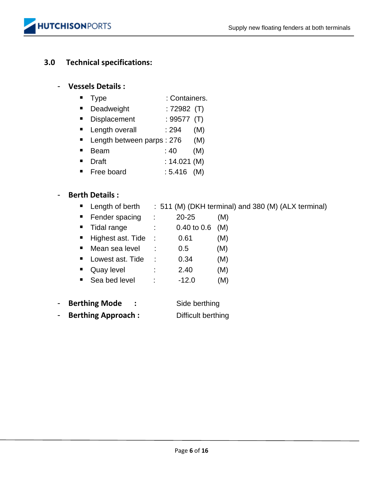

#### **3.0 Technical specifications:**

#### - **Vessels Details :**

- Type : Containers.
- Deadweight : 72982 (T)
- Displacement : 99577 (T)
- $\blacksquare$  Length overall  $\blacksquare$ : 294 (M)
- Length between parps : 276 (M)
- $\blacksquare$  Beam : 40 (M)
- Draft : 14.021 (M)
- $\blacksquare$  Free board : 5.416 (M)

#### - **Berth Details :**

- Length of berth : 511 (M) (DKH terminal) and 380 (M) (ALX terminal)
- Fender spacing : 20-25 (M)
- Tidal range : 0.40 to 0.6 (M)  $\blacksquare$  Highest ast. Tide : 0.61 (M)
- Mean sea level : 0.5 (M)
- Lowest ast. Tide : 0.34 (M)
- Quay level : 2.40 (M)
- Sea bed level :  $-12.0$  (M)
- **Berthing Mode :** Side berthing - **Berthing Approach :** Difficult berthing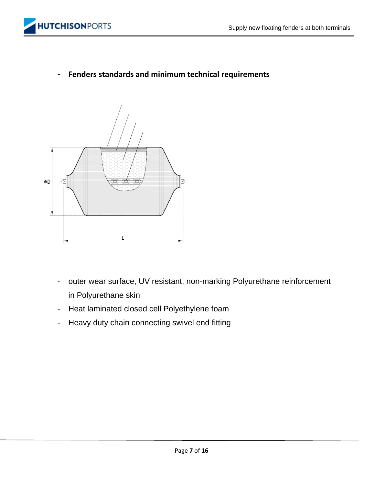

- **Fenders standards and minimum technical requirements**



- outer wear surface, UV resistant, non-marking Polyurethane reinforcement in Polyurethane skin
- Heat laminated closed cell Polyethylene foam
- Heavy duty chain connecting swivel end fitting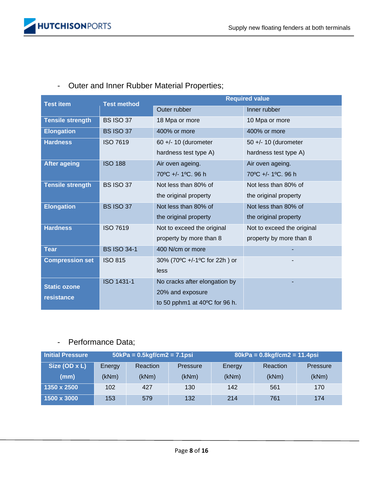# - Outer and Inner Rubber Material Properties;

| <b>Test item</b>        | <b>Test method</b> | <b>Required value</b>         |                            |  |  |
|-------------------------|--------------------|-------------------------------|----------------------------|--|--|
|                         |                    | Outer rubber                  | Inner rubber               |  |  |
| <b>Tensile strength</b> | <b>BS ISO 37</b>   | 18 Mpa or more                | 10 Mpa or more             |  |  |
| <b>Elongation</b>       | <b>BS ISO 37</b>   | 400% or more                  | 400% or more               |  |  |
| <b>Hardness</b>         | <b>ISO 7619</b>    | 60 +/- 10 (durometer          | 50 +/- 10 (durometer       |  |  |
|                         |                    | hardness test type A)         | hardness test type A)      |  |  |
| <b>After ageing</b>     | <b>ISO 188</b>     | Air oven ageing.              | Air oven ageing.           |  |  |
|                         |                    | 70°C +/- 1°C. 96 h            | 70°C +/- 1°C, 96 h         |  |  |
| <b>Tensile strength</b> | <b>BS ISO 37</b>   | Not less than 80% of          | Not less than 80% of       |  |  |
|                         |                    | the original property         | the original property      |  |  |
| <b>Elongation</b>       | <b>BS ISO 37</b>   | Not less than 80% of          | Not less than 80% of       |  |  |
|                         |                    | the original property         | the original property      |  |  |
| <b>Hardness</b>         | <b>ISO 7619</b>    | Not to exceed the original    | Not to exceed the original |  |  |
|                         |                    | property by more than 8       | property by more than 8    |  |  |
| <b>Tear</b>             | <b>BS ISO 34-1</b> | 400 N/cm or more              |                            |  |  |
| <b>Compression set</b>  | <b>ISO 815</b>     | 30% (70°C +/-1°C for 22h) or  |                            |  |  |
|                         |                    | less                          |                            |  |  |
| <b>Static ozone</b>     | ISO 1431-1         | No cracks after elongation by |                            |  |  |
| resistance              |                    | 20% and exposure              |                            |  |  |
|                         |                    | to 50 pphm1 at 40°C for 96 h. |                            |  |  |

## - Performance Data;

| Initial Pressure | $50kPa = 0.5kgf/cm2 = 7.1psi$ |                 |                                       | $80kPa = 0.8kgf/cm2 = 11.4psi$ |          |       |  |
|------------------|-------------------------------|-----------------|---------------------------------------|--------------------------------|----------|-------|--|
| Size (OD x L)    | Energy                        | <b>Reaction</b> | Reaction<br><b>Pressure</b><br>Energy |                                | Pressure |       |  |
| (mm)             | (kNm)                         | (kNm)           | (kNm)                                 | (kNm)                          | (kNm)    | (kNm) |  |
| 1350 x 2500      | 102                           | 427             | 130                                   | 142                            | 561      | 170   |  |
| 1500 x 3000      | 153                           | 579             | 132                                   | 214                            | 761      | 174   |  |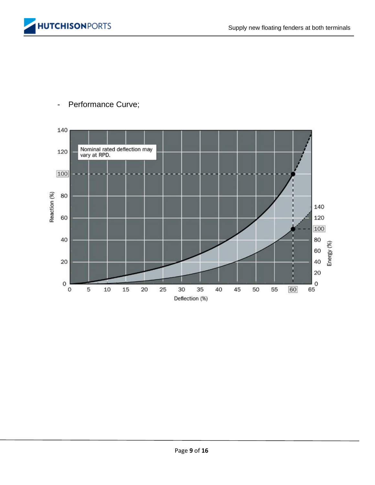



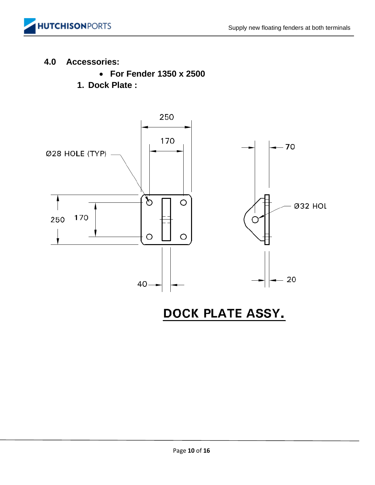

## **4.0 Accessories:**

- **For Fender 1350 x 2500**
- **1. Dock Plate :**



DOCK PLATE ASSY.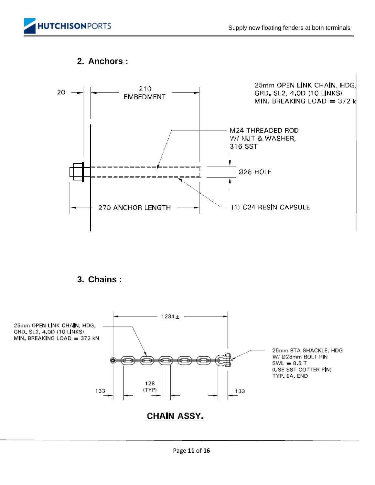



### **2. Anchors :**

**3. Chains :** 

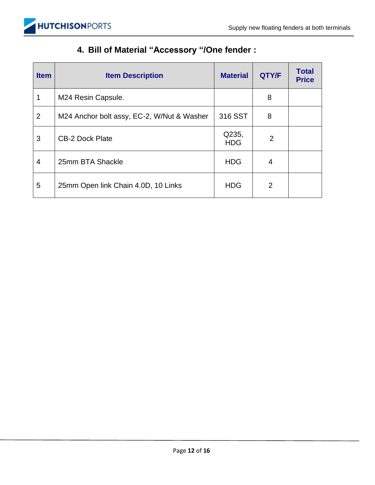

# **4. Bill of Material "Accessory "/One fender :**

| <b>Item</b>    | <b>Item Description</b>                    | <b>Material</b>     | QTY/F          | <b>Total</b><br><b>Price</b> |
|----------------|--------------------------------------------|---------------------|----------------|------------------------------|
|                | M24 Resin Capsule.                         |                     | 8              |                              |
| $\overline{2}$ | M24 Anchor bolt assy, EC-2, W/Nut & Washer | 316 SST             | 8              |                              |
| 3              | <b>CB-2 Dock Plate</b>                     | Q235,<br><b>HDG</b> | $\overline{2}$ |                              |
| 4              | 25mm BTA Shackle                           | <b>HDG</b>          | 4              |                              |
| 5              | 25mm Open link Chain 4.0D, 10 Links        | <b>HDG</b>          | $\overline{2}$ |                              |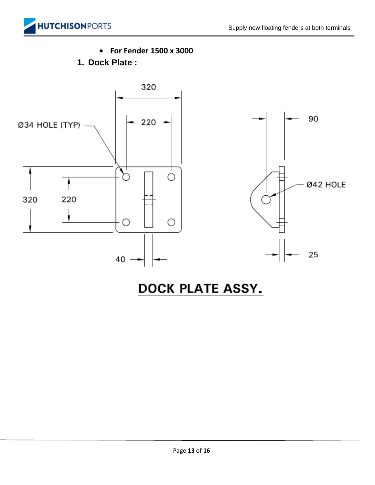

• **For Fender 1500 x 3000**

**1. Dock Plate :** 



# DOCK PLATE ASSY.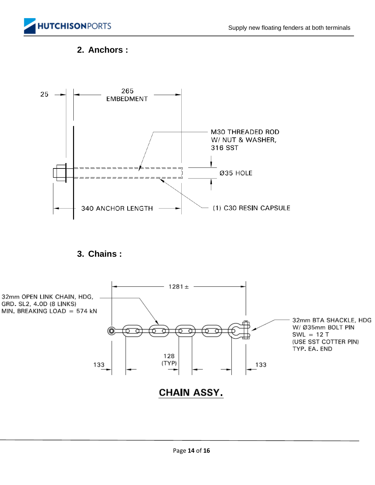

## **2. Anchors :**



**CHAIN ASSY.**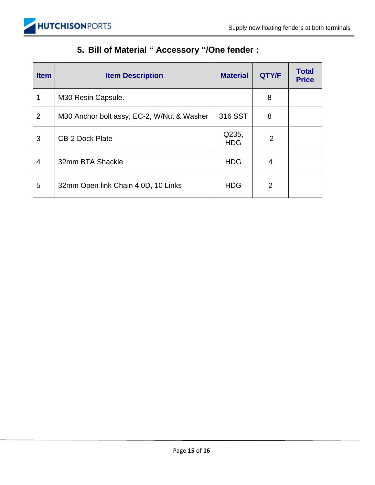

# **5. Bill of Material " Accessory "/One fender :**

| <b>Item</b>    | <b>Item Description</b>                    | <b>Material</b>     | QTY/F          | <b>Total</b><br><b>Price</b> |
|----------------|--------------------------------------------|---------------------|----------------|------------------------------|
|                | M30 Resin Capsule.                         |                     | 8              |                              |
| $\overline{2}$ | M30 Anchor bolt assy, EC-2, W/Nut & Washer | 316 SST             | 8              |                              |
| 3              | <b>CB-2 Dock Plate</b>                     | Q235,<br><b>HDG</b> | $\overline{2}$ |                              |
| 4              | 32mm BTA Shackle                           | <b>HDG</b>          | 4              |                              |
| 5              | 32mm Open link Chain 4.0D, 10 Links        | <b>HDG</b>          | $\overline{2}$ |                              |